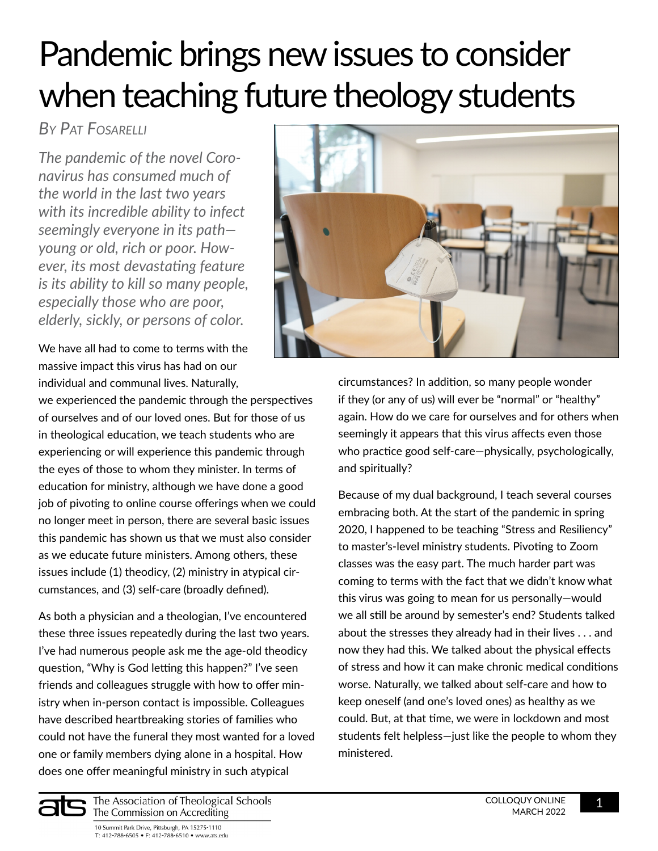# Pandemic brings new issues to consider when teaching future theology students

# *By Pat Fosarelli*

*The pandemic of the novel Coronavirus has consumed much of the world in the last two years with its incredible ability to infect seemingly everyone in its path young or old, rich or poor. However, its most devastating feature is its ability to kill so many people, especially those who are poor, elderly, sickly, or persons of color[.](https://www.ats.edu/uploads/accrediting/documents/reflective-guide-to-effective-evaluation.pdf)*

We have all had to come to terms with the massive impact this virus has had on our individual and communal lives. Naturally,

we experienced the pandemic through the perspectives of ourselves and of our loved ones. But for those of us in theological education, we teach students who are experiencing or will experience this pandemic through the eyes of those to whom they minister. In terms of education for ministry, although we have done a good job of pivoting to online course offerings when we could no longer meet in person, there are several basic issues this pandemic has shown us that we must also consider as we educate future ministers. Among others, these issues include (1) theodicy, (2) ministry in atypical circumstances, and (3) self-care (broadly defined).

As both a physician and a theologian, I've encountered these three issues repeatedly during the last two years. I've had numerous people ask me the age-old theodicy question, "Why is God letting this happen?" I've seen friends and colleagues struggle with how to offer ministry when in-person contact is impossible. Colleagues have described heartbreaking stories of families who could not have the funeral they most wanted for a loved one or family members dying alone in a hospital. How does one offer meaningful ministry in such atypical



circumstances? In addition, so many people wonder if they (or any of us) will ever be "normal" or "healthy" again. How do we care for ourselves and for others when seemingly it appears that this virus affects even those who practice good self-care—physically, psychologically, and spiritually?

Because of my dual background, I teach several courses embracing both. At the start of the pandemic in spring 2020, I happened to be teaching "Stress and Resiliency" to master's-level ministry students. Pivoting to Zoom classes was the easy part. The much harder part was coming to terms with the fact that we didn't know what this virus was going to mean for us personally—would we all still be around by semester's end? Students talked about the stresses they already had in their lives . . . and now they had this. We talked about the physical effects of stress and how it can make chronic medical conditions worse. Naturally, we talked about self-care and how to keep oneself (and one's loved ones) as healthy as we could. But, at that time, we were in lockdown and most students felt helpless—just like the people to whom they ministered.



The Association of Theological Schools The Commission on Accrediting

10 Summit Park Drive, Pittsburgh, PA 15275-1110 T: 412-788-6505 • F: 412-788-6510 • www.ats.edu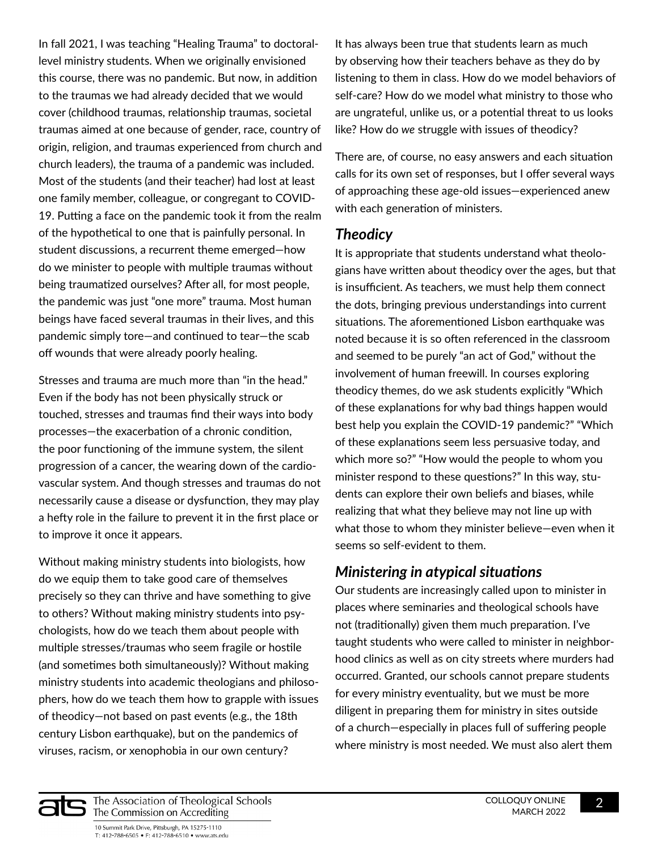In fall 2021, I was teaching "Healing Trauma" to doctorallevel ministry students. When we originally envisioned this course, there was no pandemic. But now, in addition to the traumas we had already decided that we would cover (childhood traumas, relationship traumas, societal traumas aimed at one because of gender, race, country of origin, religion, and traumas experienced from church and church leaders), the trauma of a pandemic was included. Most of the students (and their teacher) had lost at least one family member, colleague, or congregant to COVID-19. Putting a face on the pandemic took it from the realm of the hypothetical to one that is painfully personal. In student discussions, a recurrent theme emerged—how do we minister to people with multiple traumas without being traumatized ourselves? After all, for most people, the pandemic was just "one more" trauma. Most human beings have faced several traumas in their lives, and this pandemic simply tore—and continued to tear—the scab off wounds that were already poorly healing.

Stresses and trauma are much more than "in the head." Even if the body has not been physically struck or touched, stresses and traumas find their ways into body processes—the exacerbation of a chronic condition, the poor functioning of the immune system, the silent progression of a cancer, the wearing down of the cardiovascular system. And though stresses and traumas do not necessarily cause a disease or dysfunction, they may play a hefty role in the failure to prevent it in the first place or to improve it once it appears.

Without making ministry students into biologists, how do we equip them to take good care of themselves precisely so they can thrive and have something to give to others? Without making ministry students into psychologists, how do we teach them about people with multiple stresses/traumas who seem fragile or hostile (and sometimes both simultaneously)? Without making ministry students into academic theologians and philosophers, how do we teach them how to grapple with issues of theodicy—not based on past events (e.g., the 18th century Lisbon earthquake), but on the pandemics of viruses, racism, or xenophobia in our own century?

It has always been true that students learn as much by observing how their teachers behave as they do by listening to them in class. How do we model behaviors of self-care? How do we model what ministry to those who are ungrateful, unlike us, or a potential threat to us looks like? How do *we* struggle with issues of theodicy?

There are, of course, no easy answers and each situation calls for its own set of responses, but I offer several ways of approaching these age-old issues—experienced anew with each generation of ministers.

#### *Theodicy*

It is appropriate that students understand what theologians have written about theodicy over the ages, but that is insufficient. As teachers, we must help them connect the dots, bringing previous understandings into current situations. The aforementioned Lisbon earthquake was noted because it is so often referenced in the classroom and seemed to be purely "an act of God," without the involvement of human freewill. In courses exploring theodicy themes, do we ask students explicitly "Which of these explanations for why bad things happen would best help you explain the COVID-19 pandemic?" "Which of these explanations seem less persuasive today, and which more so?" "How would the people to whom you minister respond to these questions?" In this way, students can explore their own beliefs and biases, while realizing that what they believe may not line up with what those to whom they minister believe—even when it seems so self-evident to them.

## *Ministering in atypical situations*

Our students are increasingly called upon to minister in places where seminaries and theological schools have not (traditionally) given them much preparation. I've taught students who were called to minister in neighborhood clinics as well as on city streets where murders had occurred. Granted, our schools cannot prepare students for every ministry eventuality, but we must be more diligent in preparing them for ministry in sites outside of a church—especially in places full of suffering people where ministry is most needed. We must also alert them